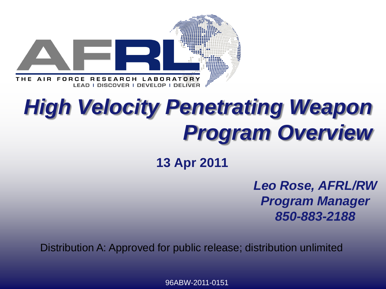

# *High Velocity Penetrating Weapon Program Overview*

**13 Apr 2011**

*Leo Rose, AFRL/RW Program Manager 850-883-2188*

Distribution A: Approved for public release; distribution unlimited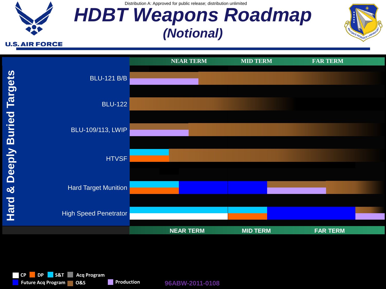

**U.S. AIR FORCE** 

Distribution A: Approved for public release; distribution unlimited

### *HDBT Weapons Roadmap (Notional)*

**NEAR TERM MID TERM FAR TERM** 





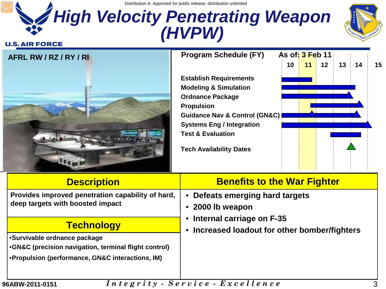### Distribution A: Approved for public release; distribution unlimited *High Velocity Penetrating Weapon (HVPW)*



#### **U.S. AIR FORCE**



### **Establish Requirements Modeling & Simulation Ordnance Package Propulsion Guidance Nav & Control (GN&C) Systems Eng / Integration Test & Evaluation Tech Availability Dates Program Schedule (FY) As of: 3 Feb 11 10 11 12 13 14 15**

| <b>Description</b>                                                                                                                        | <b>Benefits to the War Fighter</b>                                                                                                  |
|-------------------------------------------------------------------------------------------------------------------------------------------|-------------------------------------------------------------------------------------------------------------------------------------|
| Provides improved penetration capability of hard,<br>deep targets with boosted impact                                                     | • Defeats emerging hard targets<br>• 2000 lb weapon<br>• Internal carriage on F-35<br>• Increased loadout for other bomber/fighters |
| <b>Technology</b>                                                                                                                         |                                                                                                                                     |
| •Survivable ordnance package<br>•GN&C (precision navigation, terminal flight control)<br>•Propulsion (performance, GN&C interactions, IM) |                                                                                                                                     |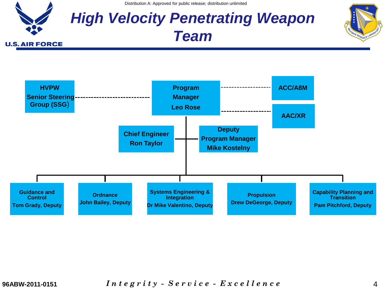Distribution A: Approved for public release; distribution unlimited



**U.S. AIR FORCE** 

### *High Velocity Penetrating Weapon Team*





#### *I n t e g r i t y - S e r v i c e - E x c e l l e n c e*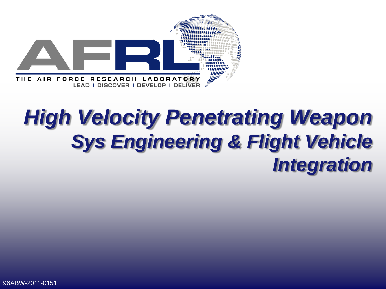

# *High Velocity Penetrating Weapon Sys Engineering & Flight Vehicle Integration*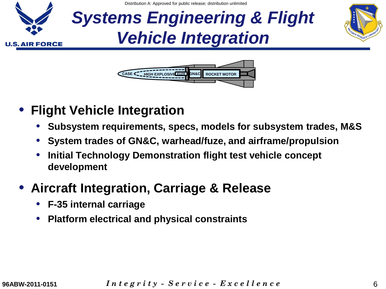



- **Flight Vehicle Integration** 
	- **Subsystem requirements, specs, models for subsystem trades, M&S**
	- **System trades of GN&C, warhead/fuze, and airframe/propulsion**
	- **Initial Technology Demonstration flight test vehicle concept development**
- **Aircraft Integration, Carriage & Release**
	- **F-35 internal carriage**
	- **Platform electrical and physical constraints**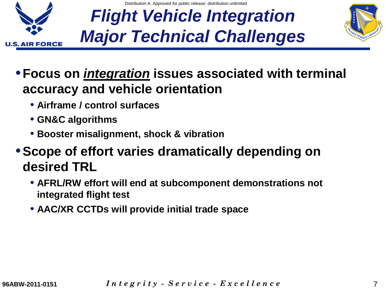



### •**Focus on** *integration* **issues associated with terminal accuracy and vehicle orientation**

- **Airframe / control surfaces**
- **GN&C algorithms**
- **Booster misalignment, shock & vibration**
- •**Scope of effort varies dramatically depending on desired TRL**
	- **AFRL/RW effort will end at subcomponent demonstrations not integrated flight test**
	- **AAC/XR CCTDs will provide initial trade space**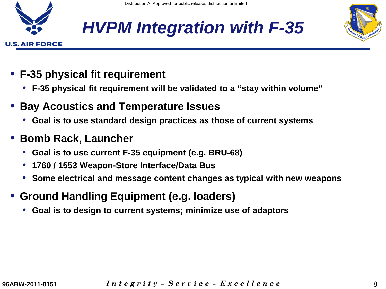



## *HVPM Integration with F-35*

- **F-35 physical fit requirement**
	- **F-35 physical fit requirement will be validated to a "stay within volume"**
- **Bay Acoustics and Temperature Issues**
	- **Goal is to use standard design practices as those of current systems**

### • **Bomb Rack, Launcher**

- **Goal is to use current F-35 equipment (e.g. BRU-68)**
- **1760 / 1553 Weapon-Store Interface/Data Bus**
- **Some electrical and message content changes as typical with new weapons**
- **Ground Handling Equipment (e.g. loaders)**
	- **Goal is to design to current systems; minimize use of adaptors**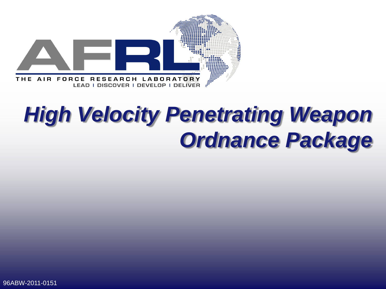

# *High Velocity Penetrating Weapon Ordnance Package*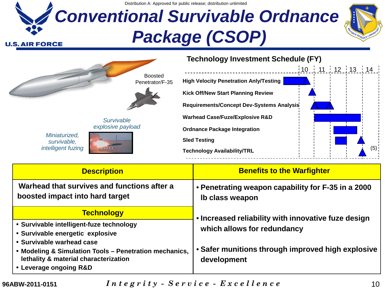



| <b>Description</b>                                                                                                                                     | <b>Benefits to the Warfighter</b>                                                  |
|--------------------------------------------------------------------------------------------------------------------------------------------------------|------------------------------------------------------------------------------------|
| Warhead that survives and functions after a<br>boosted impact into hard target                                                                         | • Penetrating weapon capability for F-35 in a 2000<br>Ib class weapon              |
| <b>Technology</b>                                                                                                                                      | • Increased reliability with innovative fuze design<br>which allows for redundancy |
| • Survivable intelligent-fuze technology<br>• Survivable energetic explosive                                                                           |                                                                                    |
| • Survivable warhead case<br>• Modeling & Simulation Tools - Penetration mechanics,<br>lethality & material characterization<br>• Leverage ongoing R&D | • Safer munitions through improved high explosive<br>development                   |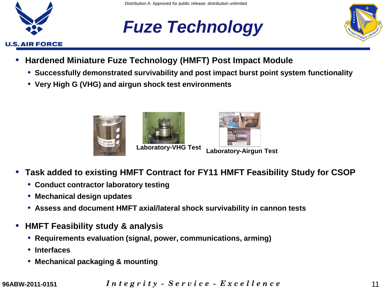

## *Fuze Technology*



- **Hardened Miniature Fuze Technology (HMFT) Post Impact Module** 
	- **Successfully demonstrated survivability and post impact burst point system functionality**
	- **Very High G (VHG) and airgun shock test environments**





**Laboratory-VHG Test Laboratory-Airgun Test**

- **Task added to existing HMFT Contract for FY11 HMFT Feasibility Study for CSOP**
	- **Conduct contractor laboratory testing**
	- **Mechanical design updates**
	- **Assess and document HMFT axial/lateral shock survivability in cannon tests**
- **HMFT Feasibility study & analysis**
	- **Requirements evaluation (signal, power, communications, arming)**
	- **Interfaces**
	- **Mechanical packaging & mounting**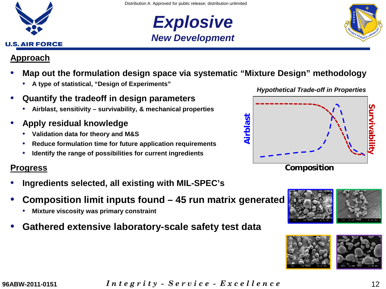

Distribution A: Approved for public release; distribution unlimited





#### **U.S. AIR FORCE**

#### **Approach**

- **Map out the formulation design space via systematic "Mixture Design" methodology**
	- **A type of statistical, "Design of Experiments"**
- **Quantify the tradeoff in design parameters**
	- **Airblast, sensitivity – survivability, & mechanical properties**
- **Apply residual knowledge**
	- **Validation data for theory and M&S**
	- **Reduce formulation time for future application requirements**
	- **Identify the range of possibilities for current ingredients**

#### **Progress**

- **Ingredients selected, all existing with MIL-SPEC's**
- **Composition limit inputs found – 45 run matrix generated**
	- **Mixture viscosity was primary constraint**
- **Gathered extensive laboratory-scale safety test data**







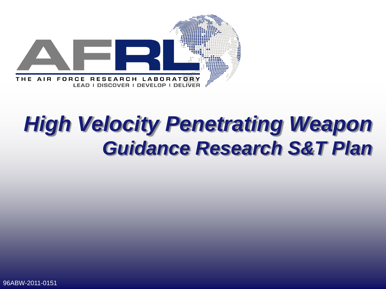

# *High Velocity Penetrating Weapon Guidance Research S&T Plan*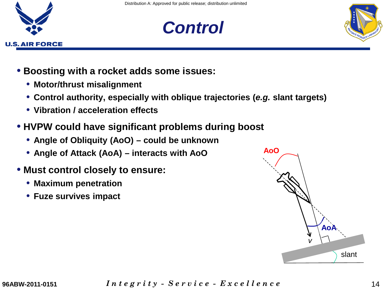





- **Boosting with a rocket adds some issues:**
	- **Motor/thrust misalignment**
	- **Control authority, especially with oblique trajectories (***e.g.* **slant targets)**
	- **Vibration / acceleration effects**
- **HVPW could have significant problems during boost**
	- **Angle of Obliquity (AoO) – could be unknown**
	- **Angle of Attack (AoA) – interacts with AoO**
- **Must control closely to ensure:**
	- **Maximum penetration**
	- **Fuze survives impact**

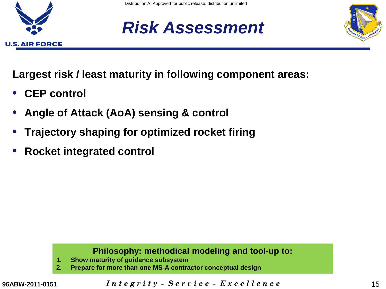

### *Risk Assessment*



**Largest risk / least maturity in following component areas:**

- **CEP control**
- **Angle of Attack (AoA) sensing & control**
- **Trajectory shaping for optimized rocket firing**
- **Rocket integrated control**

### **Philosophy: methodical modeling and tool-up to:**

- **1. Show maturity of guidance subsystem**
- **2. Prepare for more than one MS-A contractor conceptual design**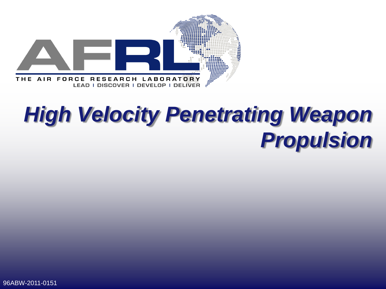

# *High Velocity Penetrating Weapon Propulsion*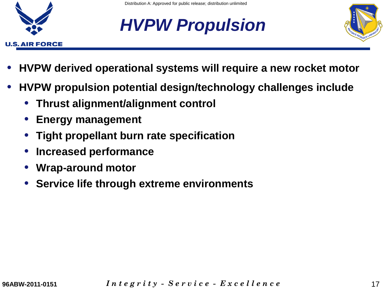

## *HVPW Propulsion*



- **HVPW derived operational systems will require a new rocket motor**
- **HVPW propulsion potential design/technology challenges include**
	- **Thrust alignment/alignment control**
	- **Energy management**
	- **Tight propellant burn rate specification**
	- **Increased performance**
	- **Wrap-around motor**
	- **Service life through extreme environments**